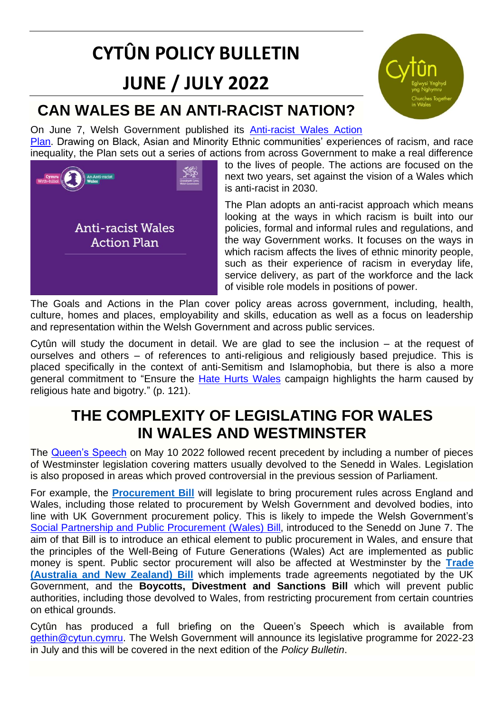# **CYTÛN POLICY BULLETIN**

## **JUNE / JULY 2022**

## **CAN WALES BE AN ANTI-RACIST NATION?**

On June 7, Welsh Government published its [Anti-racist Wales Action](https://gov.wales/anti-racist-wales-action-plan)  [Plan.](https://gov.wales/anti-racist-wales-action-plan) Drawing on Black, Asian and Minority Ethnic communities' experiences of racism, and race inequality, the Plan sets out a series of actions from across Government to make a real difference



to the lives of people. The actions are focused on the next two years, set against the vision of a Wales which is anti-racist in 2030.

The Plan adopts an anti-racist approach which means looking at the ways in which racism is built into our policies, formal and informal rules and regulations, and the way Government works. It focuses on the ways in which racism affects the lives of ethnic minority people, such as their experience of racism in everyday life, service delivery, as part of the workforce and the lack of visible role models in positions of power.

The Goals and Actions in the Plan cover policy areas across government, including, health, culture, homes and places, employability and skills, education as well as a focus on leadership and representation within the Welsh Government and across public services.

Cytûn will study the document in detail. We are glad to see the inclusion – at the request of ourselves and others – of references to anti-religious and religiously based prejudice. This is placed specifically in the context of anti-Semitism and Islamophobia, but there is also a more general commitment to "Ensure the [Hate Hurts Wales](https://gov.wales/hate-hurts-wales) campaign highlights the harm caused by religious hate and bigotry." (p. 121).

### **THE COMPLEXITY OF LEGISLATING FOR WALES IN WALES AND WESTMINSTER**

The [Queen's Speech](https://assets.publishing.service.gov.uk/government/uploads/system/uploads/attachment_data/file/1074113/Lobby_Pack_10_May_2022.pdf) on May 10 2022 followed recent precedent by including a number of pieces of Westminster legislation covering matters usually devolved to the Senedd in Wales. Legislation is also proposed in areas which proved controversial in the previous session of Parliament.

For example, the **[Procurement Bill](https://bills.parliament.uk/bills/3159)** will legislate to bring procurement rules across England and Wales, including those related to procurement by Welsh Government and devolved bodies, into line with UK Government procurement policy. This is likely to impede the Welsh Government's [Social Partnership and Public Procurement \(Wales\) Bill,](https://senedd.wales/media/2y3fghox/pri-ld15134-e.pdf) introduced to the Senedd on June 7. The aim of that Bill is to introduce an ethical element to public procurement in Wales, and ensure that the principles of the Well-Being of Future Generations (Wales) Act are implemented as public money is spent. Public sector procurement will also be affected at Westminster by the **[Trade](https://bills.parliament.uk/bills/3152)  [\(Australia and New Zealand\) Bill](https://bills.parliament.uk/bills/3152)** which implements trade agreements negotiated by the UK Government, and the **Boycotts, Divestment and Sanctions Bill** which will prevent public authorities, including those devolved to Wales, from restricting procurement from certain countries on ethical grounds.

Cytûn has produced a full briefing on the Queen's Speech which is available from [gethin@cytun.cymru.](mailto:gethin@cytun.cymru) The Welsh Government will announce its legislative programme for 2022-23 in July and this will be covered in the next edition of the *Policy Bulletin*.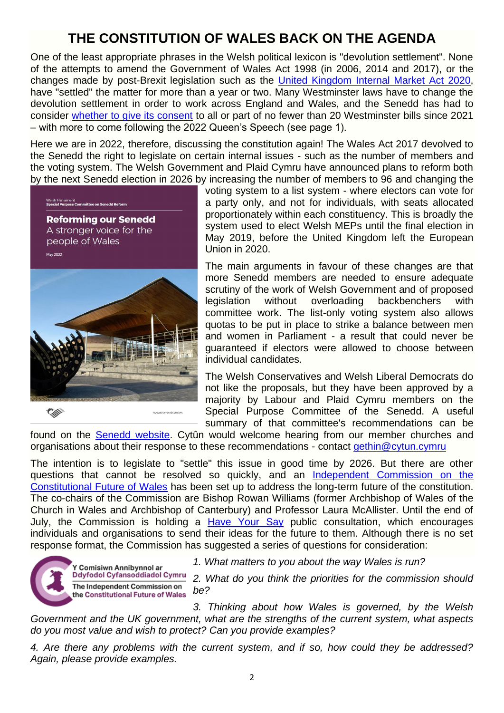#### **THE CONSTITUTION OF WALES BACK ON THE AGENDA**

One of the least appropriate phrases in the Welsh political lexicon is "devolution settlement". None of the attempts to amend the Government of Wales Act 1998 (in 2006, 2014 and 2017), or the changes made by post-Brexit legislation such as the [United Kingdom Internal Market Act 2020,](https://www.legislation.gov.uk/ukpga/2020/27/contents/enacted) have "settled" the matter for more than a year or two. Many Westminster laws have to change the devolution settlement in order to work across England and Wales, and the Senedd has had to consider [whether to give its consent](https://senedd.wales/senedd-business/legislative-consent/) to all or part of no fewer than 20 Westminster bills since 2021 – with more to come following the 2022 Queen's Speech (see page 1).

Here we are in 2022, therefore, discussing the constitution again! The Wales Act 2017 devolved to the Senedd the right to legislate on certain internal issues - such as the number of members and the voting system. The Welsh Government and Plaid Cymru have announced plans to reform both by the next Senedd election in 2026 by increasing the number of members to 96 and changing the



voting system to a list system - where electors can vote for a party only, and not for individuals, with seats allocated proportionately within each constituency. This is broadly the system used to elect Welsh MEPs until the final election in May 2019, before the United Kingdom left the European Union in 2020.

The main arguments in favour of these changes are that more Senedd members are needed to ensure adequate scrutiny of the work of Welsh Government and of proposed legislation without overloading backbenchers with committee work. The list-only voting system also allows quotas to be put in place to strike a balance between men and women in Parliament - a result that could never be guaranteed if electors were allowed to choose between individual candidates.

The Welsh Conservatives and Welsh Liberal Democrats do not like the proposals, but they have been approved by a majority by Labour and Plaid Cymru members on the Special Purpose Committee of the Senedd. A useful summary of that committee's recommendations can be

found on the [Senedd website.](https://senedd.wales/senedd-now/senedd-blog/senedd-reform-what-is-it/) Cytûn would welcome hearing from our member churches and organisations about their response to these recommendations - contact [gethin@cytun.cymru](mailto:gethin@cytun.cymru)

The intention is to legislate to "settle" this issue in good time by 2026. But there are other questions that cannot be resolved so quickly, and an Independent Commission on the [Constitutional Future of Wales](https://llyw.cymru/y-comisiwn-annibynnol-ar-ddyfodol-cyfansoddiadol-cymru) has been set up to address the long-term future of the constitution. The co-chairs of the Commission are Bishop Rowan Williams (former Archbishop of Wales of the Church in Wales and Archbishop of Canterbury) and Professor Laura McAllister. Until the end of July, the Commission is holding a [Have Your Say](https://gov.wales/have-your-say-the-constitutional-future-of-wales-html) public consultation, which encourages individuals and organisations to send their ideas for the future to them. Although there is no set response format, the Commission has suggested a series of questions for consideration:



*1. What matters to you about the way Wales is run?*

*2. What do you think the priorities for the commission should be?*

*3. Thinking about how Wales is governed, by the Welsh Government and the UK government, what are the strengths of the current system, what aspects do you most value and wish to protect? Can you provide examples?*

*4. Are there any problems with the current system, and if so, how could they be addressed? Again, please provide examples.*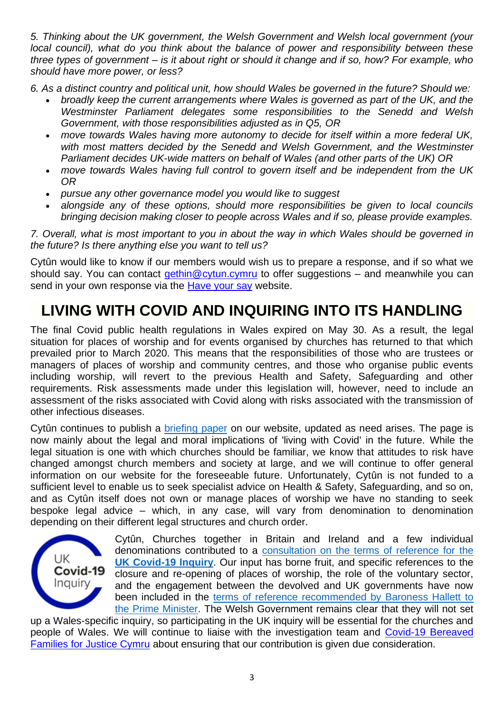*5. Thinking about the UK government, the Welsh Government and Welsh local government (your local council), what do you think about the balance of power and responsibility between these three types of government – is it about right or should it change and if so, how? For example, who should have more power, or less?*

*6. As a distinct country and political unit, how should Wales be governed in the future? Should we:*

- *broadly keep the current arrangements where Wales is governed as part of the UK, and the Westminster Parliament delegates some responsibilities to the Senedd and Welsh Government, with those responsibilities adjusted as in Q5, OR*
- *move towards Wales having more autonomy to decide for itself within a more federal UK,*  with most matters decided by the Senedd and Welsh Government, and the Westminster *Parliament decides UK-wide matters on behalf of Wales (and other parts of the UK) OR*
- *move towards Wales having full control to govern itself and be independent from the UK OR*
- *pursue any other governance model you would like to suggest*
- *alongside any of these options, should more responsibilities be given to local councils bringing decision making closer to people across Wales and if so, please provide examples.*

*7. Overall, what is most important to you in about the way in which Wales should be governed in the future? Is there anything else you want to tell us?*

Cytûn would like to know if our members would wish us to prepare a response, and if so what we should say. You can contact [gethin@cytun.cymru](mailto:gethin@cytun.cymru) to offer suggestions – and meanwhile you can send in your own response via the [Have your say](https://gov.wales/have-your-say-the-constitutional-future-of-wales-html) website.

## **LIVING WITH COVID AND INQUIRING INTO ITS HANDLING**

The final Covid public health regulations in Wales expired on May 30. As a result, the legal situation for places of worship and for events organised by churches has returned to that which prevailed prior to March 2020. This means that the responsibilities of those who are trustees or managers of places of worship and community centres, and those who organise public events including worship, will revert to the previous Health and Safety, Safeguarding and other requirements. Risk assessments made under this legislation will, however, need to include an assessment of the risks associated with Covid along with risks associated with the transmission of other infectious diseases.

Cytûn continues to publish a [briefing paper](https://www.cytun.co.uk/hafan/en/covid-19-briefing-paper/) on our website, updated as need arises. The page is now mainly about the legal and moral implications of 'living with Covid' in the future. While the legal situation is one with which churches should be familiar, we know that attitudes to risk have changed amongst church members and society at large, and we will continue to offer general information on our website for the foreseeable future. Unfortunately, Cytûn is not funded to a sufficient level to enable us to seek specialist advice on Health & Safety, Safeguarding, and so on, and as Cytûn itself does not own or manage places of worship we have no standing to seek bespoke legal advice – which, in any case, will vary from denomination to denomination depending on their different legal structures and church order.



Cytûn, Churches together in Britain and Ireland and a few individual denominations contributed to a [consultation on the terms of reference for the](https://covid19.public-inquiry.uk/consultation/)  **[UK Covid-19 Inquiry](https://covid19.public-inquiry.uk/consultation/)**. Our input has borne fruit, and specific references to the closure and re-opening of places of worship, the role of the voluntary sector, and the engagement between the devolved and UK governments have now been included in the [terms of reference recommended by Baroness Hallett to](https://covid19.public-inquiry.uk/2022/05/baroness-hallett-makes-recommendations-to-the-prime-minister-on-the-inquirys-terms-of-reference/)  [the Prime Minister.](https://covid19.public-inquiry.uk/2022/05/baroness-hallett-makes-recommendations-to-the-prime-minister-on-the-inquirys-terms-of-reference/) The Welsh Government remains clear that they will not set

up a Wales-specific inquiry, so participating in the UK inquiry will be essential for the churches and people of Wales. We will continue to liaise with the investigation team and [Covid-19 Bereaved](https://twitter.com/cymru_inquiry) [Families for Justice Cymru](https://twitter.com/cymru_inquiry) about ensuring that our contribution is given due consideration.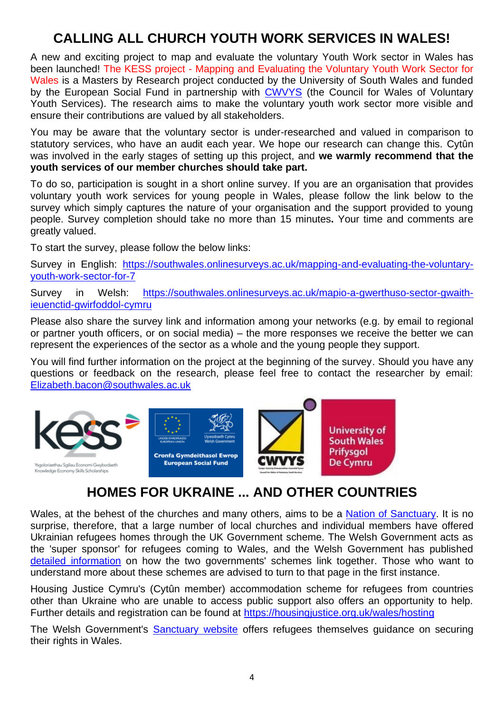#### **CALLING ALL CHURCH YOUTH WORK SERVICES IN WALES!**

A new and exciting project to map and evaluate the voluntary Youth Work sector in Wales has been launched! The KESS project - Mapping and Evaluating the Voluntary Youth Work Sector for Wales is a Masters by Research project conducted by the University of South Wales and funded by the European Social Fund in partnership with CWVYS (the Council for Wales of Voluntary Youth Services). The research aims to make the voluntary youth work sector more visible and ensure their contributions are valued by all stakeholders.

You may be aware that the voluntary sector is under-researched and valued in comparison to statutory services, who have an audit each year. We hope our research can change this. Cytûn was involved in the early stages of setting up this project, and **we warmly recommend that the youth services of our member churches should take part.**

To do so, participation is sought in a short online survey. If you are an organisation that provides voluntary youth work services for young people in Wales, please follow the link below to the survey which simply captures the nature of your organisation and the support provided to young people. Survey completion should take no more than 15 minutes**.** Your time and comments are greatly valued.

To start the survey, please follow the below links:

Survey in English: https://southwales.onlinesurveys.ac.uk/mapping-and-evaluating-the-voluntaryyouth-work-sector-for-7

Survey in Welsh: https://southwales.onlinesurveys.ac.uk/mapio-a-gwerthuso-sector-gwaithieuenctid-gwirfoddol-cymru

Please also share the survey link and information among your networks (e.g. by email to regional or partner youth officers, or on social media) – the more responses we receive the better we can represent the experiences of the sector as a whole and the young people they support.

You will find further information on the project at the beginning of the survey. Should you have any questions or feedback on the research, please feel free to contact the researcher by email: Elizabeth.bacon@southwales.ac.uk



#### **HOMES FOR UKRAINE ... AND OTHER COUNTRIES**

Wales, at the behest of the churches and many others, aims to be a Nation of Sanctuary. It is no surprise, therefore, that a large number of local churches and individual members have offered Ukrainian refugees homes through the UK Government scheme. The Welsh Government acts as the 'super sponsor' for refugees coming to Wales, and the Welsh Government has published detailed information on how the two governments' schemes link together. Those who want to understand more about these schemes are advised to turn to that page in the first instance.

Housing Justice Cymru's (Cytûn member) accommodation scheme for refugees from countries other than Ukraine who are unable to access public support also offers an opportunity to help. Further details and registration can be found at https://housingjustice.org.uk/wales/hosting

The Welsh Government's Sanctuary website offers refugees themselves guidance on securing their rights in Wales.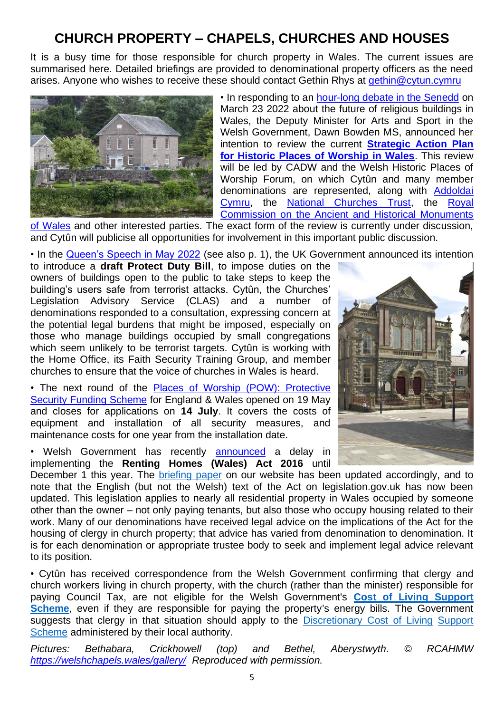#### **CHURCH PROPERTY – CHAPELS, CHURCHES AND HOUSES**

It is a busy time for those responsible for church property in Wales. The current issues are summarised here. Detailed briefings are provided to denominational property officers as the need arises. Anyone who wishes to receive these should contact Gethin Rhys at gethin@cytun.cymru



• In responding to an hour-long debate in the Senedd on March 23 2022 about the future of religious buildings in Wales, the Deputy Minister for Arts and Sport in the Welsh Government, Dawn Bowden MS, announced her intention to review the current **Strategic Action Plan for Historic Places of Worship in Wales**. This review will be led by CADW and the Welsh Historic Places of Worship Forum, on which Cytûn and many member denominations are represented, along with Addoldai Cymru, the National Churches Trust, the Royal Commission on the Ancient and Historical Monuments

of Wales and other interested parties. The exact form of the review is currently under discussion, and Cytûn will publicise all opportunities for involvement in this important public discussion.

• In the Queen's Speech in May 2022 (see also p. 1), the UK Government announced its intention

to introduce a **draft Protect Duty Bill**, to impose duties on the owners of buildings open to the public to take steps to keep the building's users safe from terrorist attacks. Cytûn, the Churches' Legislation Advisory Service (CLAS) and a number of denominations responded to a consultation, expressing concern at the potential legal burdens that might be imposed, especially on those who manage buildings occupied by small congregations which seem unlikely to be terrorist targets. Cytûn is working with the Home Office, its Faith Security Training Group, and member churches to ensure that the voice of churches in Wales is heard.

• The next round of the Places of Worship (POW): Protective Security Funding Scheme for England & Wales opened on 19 May and closes for applications on **14 July**. It covers the costs of equipment and installation of all security measures, and maintenance costs for one year from the installation date.

• Welsh Government has recently **announced** a delay in implementing the **Renting Homes (Wales) Act 2016** until



December 1 this year. The briefing paper on our website has been updated accordingly, and to note that the English (but not the Welsh) text of the Act on legislation.gov.uk has now been updated. This legislation applies to nearly all residential property in Wales occupied by someone other than the owner – not only paying tenants, but also those who occupy housing related to their work. Many of our denominations have received legal advice on the implications of the Act for the housing of clergy in church property; that advice has varied from denomination to denomination. It is for each denomination or appropriate trustee body to seek and implement legal advice relevant to its position.

• Cytûn has received correspondence from the Welsh Government confirming that clergy and church workers living in church property, with the church (rather than the minister) responsible for paying Council Tax, are not eligible for the Welsh Government's **Cost of Living Support Scheme**, even if they are responsible for paying the property's energy bills. The Government suggests that clergy in that situation should apply to the Discretionary Cost of Living Support Scheme administered by their local authority.

*Pictures: Bethabara, Crickhowell (top) and Bethel, Aberystwyth. © RCAHMW https://welshchapels.wales/gallery/ Reproduced with permission.*